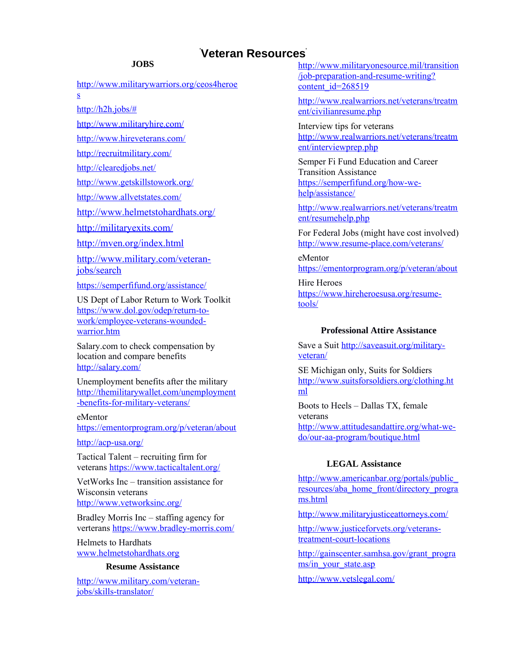### **JOBS**

[http://www.militarywarriors.org/ceos4heroe](http://www.militarywarriors.org/ceos4heroes) [s](http://www.militarywarriors.org/ceos4heroes)

[http://h2h.jobs/#](http://h2h.jobs/)

<http://www.militaryhire.com/>

<http://www.hireveterans.com/>

<http://recruitmilitary.com/>

<http://clearedjobs.net/>

<http://www.getskillstowork.org/>

<http://www.allvetstates.com/>

<http://www.helmetstohardhats.org/>

<http://militaryexits.com/>

<http://mven.org/index.html>

[http://www.military.com/veteran](http://www.military.com/veteran-jobs/search)[jobs/search](http://www.military.com/veteran-jobs/search)

<https://semperfifund.org/assistance/>

US Dept of Labor Return to Work Toolkit [https://www.dol.gov/odep/return-to](https://www.dol.gov/odep/return-to-work/employee-veterans-wounded-warrior.htm)[work/employee-veterans-wounded](https://www.dol.gov/odep/return-to-work/employee-veterans-wounded-warrior.htm)[warrior.htm](https://www.dol.gov/odep/return-to-work/employee-veterans-wounded-warrior.htm)

Salary.com to check compensation by location and compare benefits <http://salary.com/>

Unemployment benefits after the military [http://themilitarywallet.com/unemployment](http://themilitarywallet.com/unemployment-benefits-for-military-veterans/) [-benefits-for-military-veterans/](http://themilitarywallet.com/unemployment-benefits-for-military-veterans/)

eMentor <https://ementorprogram.org/p/veteran/about>

<http://acp-usa.org/>

Tactical Talent – recruiting firm for veterans<https://www.tacticaltalent.org/>

VetWorks Inc – transition assistance for Wisconsin veterans <http://www.vetworksinc.org/>

Bradley Morris Inc – staffing agency for verterans<https://www.bradley-morris.com/>

Helmets to Hardhats [www.helmetstohardhats.org](http://www.helmetstohardhats.org/)

### **Resume Assistance**

[http://www.military.com/veteran](http://www.military.com/veteran-jobs/skills-translator/)[jobs/skills-translator/](http://www.military.com/veteran-jobs/skills-translator/)

[http://www.militaryonesource.mil/transition](http://www.militaryonesource.mil/transition/job-preparation-and-resume-writing?content_id=268519) [/job-preparation-and-resume-writing?](http://www.militaryonesource.mil/transition/job-preparation-and-resume-writing?content_id=268519) [content\\_id=268519](http://www.militaryonesource.mil/transition/job-preparation-and-resume-writing?content_id=268519)

[http://www.realwarriors.net/veterans/treatm](http://www.realwarriors.net/veterans/treatment/civilianresume.php) [ent/civilianresume.php](http://www.realwarriors.net/veterans/treatment/civilianresume.php)

Interview tips for veterans [http://www.realwarriors.net/veterans/treatm](http://www.realwarriors.net/veterans/treatment/interviewprep.php) [ent/interviewprep.php](http://www.realwarriors.net/veterans/treatment/interviewprep.php)

Semper Fi Fund Education and Career Transition Assistance [https://semperfifund.org/how-we](https://semperfifund.org/how-we-help/assistance/)[help/assistance/](https://semperfifund.org/how-we-help/assistance/)

[http://www.realwarriors.net/veterans/treatm](http://www.realwarriors.net/veterans/treatment/resumehelp.php) [ent/resumehelp.php](http://www.realwarriors.net/veterans/treatment/resumehelp.php)

For Federal Jobs (might have cost involved) <http://www.resume-place.com/veterans/>

eMentor <https://ementorprogram.org/p/veteran/about>

Hire Heroes [https://www.hireheroesusa.org/resume](https://www.hireheroesusa.org/resume-tools/)[tools/](https://www.hireheroesusa.org/resume-tools/)

### **Professional Attire Assistance**

Save a Suit [http://saveasuit.org/military](http://saveasuit.org/military-veteran/)[veteran/](http://saveasuit.org/military-veteran/)

SE Michigan only, Suits for Soldiers [http://www.suitsforsoldiers.org/clothing.ht](http://www.suitsforsoldiers.org/clothing.html) [ml](http://www.suitsforsoldiers.org/clothing.html)

Boots to Heels – Dallas TX, female veterans [http://www.attitudesandattire.org/what-we](http://www.attitudesandattire.org/what-we-do/our-aa-program/boutique.html)[do/our-aa-program/boutique.html](http://www.attitudesandattire.org/what-we-do/our-aa-program/boutique.html)

#### **LEGAL Assistance**

[http://www.americanbar.org/portals/public\\_](http://www.americanbar.org/portals/public_resources/aba_home_front/directory_programs.html) [resources/aba\\_home\\_front/directory\\_progra](http://www.americanbar.org/portals/public_resources/aba_home_front/directory_programs.html) [ms.html](http://www.americanbar.org/portals/public_resources/aba_home_front/directory_programs.html)

<http://www.militaryjusticeattorneys.com/>

[http://www.justiceforvets.org/veterans](http://www.justiceforvets.org/veterans-treatment-court-locations)[treatment-court-locations](http://www.justiceforvets.org/veterans-treatment-court-locations)

[http://gainscenter.samhsa.gov/grant\\_progra](http://gainscenter.samhsa.gov/grant_programs/in_your_state.asp) [ms/in\\_your\\_state.asp](http://gainscenter.samhsa.gov/grant_programs/in_your_state.asp)

<http://www.vetslegal.com/>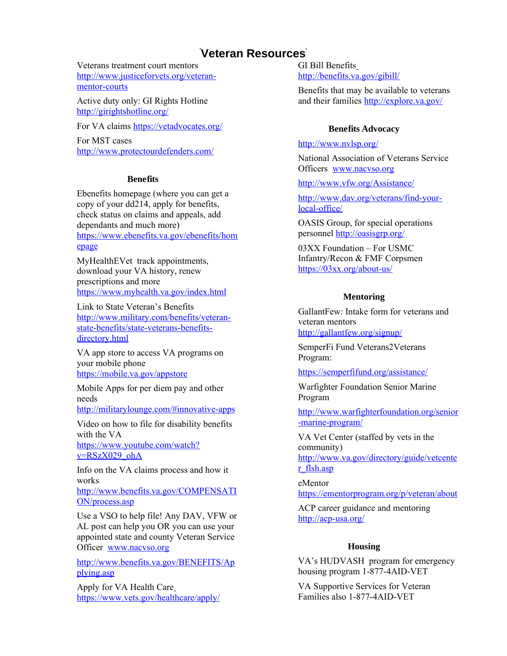Veterans treatment court mentors [http://www.justiceforvets.org/veteran](http://www.justiceforvets.org/veteran-mentor-courts)[mentor-courts](http://www.justiceforvets.org/veteran-mentor-courts)

Active duty only: GI Rights Hotline <http://girightshotline.org/>

For VA claims<https://vetadvocates.org/>

For MST cases <http://www.protectourdefenders.com/>

#### **Benefits**

Ebenefits homepage (where you can get a copy of your dd214, apply for benefits, check status on claims and appeals, add dependants and much more) [https://www.ebenefits.va.gov/ebenefits/hom](https://www.ebenefits.va.gov/ebenefits/homepage) [epage](https://www.ebenefits.va.gov/ebenefits/homepage)

MyHealthEVet track appointments, download your VA history, renew prescriptions and more <https://www.myhealth.va.gov/index.html>

Link to State Veteran's Benefits [http://www.military.com/benefits/veteran](http://www.military.com/benefits/veteran-state-benefits/state-veterans-benefits-directory.html)[state-benefits/state-veterans-benefits](http://www.military.com/benefits/veteran-state-benefits/state-veterans-benefits-directory.html)[directory.html](http://www.military.com/benefits/veteran-state-benefits/state-veterans-benefits-directory.html)

VA app store to access VA programs on your mobile phone <https://mobile.va.gov/appstore>

Mobile Apps for per diem pay and other needs

[http://militarylounge.com/#innovative-apps](#page-1-0)

Video on how to file for disability benefits with the VA

[https://www.youtube.com/watch?](https://www.youtube.com/watch?v=RSzX029_ohA) [v=RSzX029\\_ohA](https://www.youtube.com/watch?v=RSzX029_ohA)

Info on the VA claims process and how it works

[http://www.benefits.va.gov/COMPENSATI](http://www.benefits.va.gov/COMPENSATION/process.asp) [ON/process.asp](http://www.benefits.va.gov/COMPENSATION/process.asp)

Use a VSO to help file! Any DAV, VFW or AL post can help you OR you can use your appointed state and county Veteran Service Officer [www.nacvso.org](http://www.nacvso.org/)

[http://www.benefits.va.gov/BENEFITS/Ap](http://www.benefits.va.gov/BENEFITS/Applying.asp) [plying.asp](http://www.benefits.va.gov/BENEFITS/Applying.asp)

Apply for VA Health Care <https://www.vets.gov/healthcare/apply/> GI Bill Benefits <http://benefits.va.gov/gibill/>

Benefits that may be available to veterans and their families<http://explore.va.gov/>

### **Benefits Advocacy**

<http://www.nvlsp.org/>

National Association of Veterans Service Officers [www.nacvso.org](http://www.nacvso.org/)

<http://www.vfw.org/Assistance/>

[http://www.dav.org/veterans/find-your](http://www.dav.org/veterans/find-your-local-office/)[local-office/](http://www.dav.org/veterans/find-your-local-office/)

OASIS Group, for special operations personnel<http://oasisgrp.org/>

03XX Foundation – For USMC Infantry/Recon & FMF Corpsmen <https://03xx.org/about-us/>

### **Mentoring**

GallantFew: Intake form for veterans and veteran mentors <http://gallantfew.org/signup/>

SemperFi Fund Veterans2Veterans

Program:

<https://semperfifund.org/assistance/>

Warfighter Foundation Senior Marine Program

<span id="page-1-0"></span>[http://www.warfighterfoundation.org/senior](http://www.warfighterfoundation.org/senior-marine-program/) [-marine-program/](http://www.warfighterfoundation.org/senior-marine-program/)

VA Vet Center (staffed by vets in the community)

[http://www.va.gov/directory/guide/vetcente](http://www.va.gov/directory/guide/vetcenter_flsh.asp) [r\\_flsh.asp](http://www.va.gov/directory/guide/vetcenter_flsh.asp)

eMentor <https://ementorprogram.org/p/veteran/about>

ACP career guidance and mentoring <http://acp-usa.org/>

### **Housing**

VA's HUDVASH program for emergency housing program 1-877-4AID-VET

VA Supportive Services for Veteran Families also 1-877-4AID-VET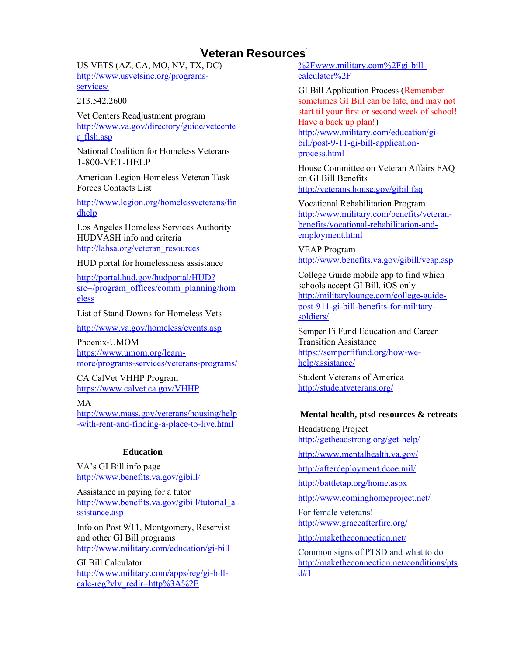US VETS (AZ, CA, MO, NV, TX, DC) [http://www.usvetsinc.org/programs](http://www.usvetsinc.org/programs-services/)[services/](http://www.usvetsinc.org/programs-services/)

213.542.2600

Vet Centers Readjustment program [http://www.va.gov/directory/guide/vetcente](http://www.va.gov/directory/guide/vetcenter_flsh.asp) [r\\_flsh.asp](http://www.va.gov/directory/guide/vetcenter_flsh.asp)

National Coalition for Homeless Veterans 1-800-VET-HELP

American Legion Homeless Veteran Task Forces Contacts List

[http://www.legion.org/homelessveterans/fin](http://www.legion.org/homelessveterans/findhelp) [dhelp](http://www.legion.org/homelessveterans/findhelp)

Los Angeles Homeless Services Authority HUDVASH info and criteria [http://lahsa.org/veteran\\_resources](http://lahsa.org/veteran_resources)

HUD portal for homelessness assistance

[http://portal.hud.gov/hudportal/HUD?](http://portal.hud.gov/hudportal/HUD?src=/program_offices/comm_planning/homeless) [src=/program\\_offices/comm\\_planning/hom](http://portal.hud.gov/hudportal/HUD?src=/program_offices/comm_planning/homeless) [eless](http://portal.hud.gov/hudportal/HUD?src=/program_offices/comm_planning/homeless)

List of Stand Downs for Homeless Vets

<http://www.va.gov/homeless/events.asp>

Phoenix-UMOM [https://www.umom.org/learn](https://www.umom.org/learn-more/programs-services/veterans-programs/)[more/programs-services/veterans-programs/](https://www.umom.org/learn-more/programs-services/veterans-programs/)

CA CalVet VHHP Program <https://www.calvet.ca.gov/VHHP>

#### MA

[http://www.mass.gov/veterans/housing/help](http://www.mass.gov/veterans/housing/help-with-rent-and-finding-a-place-to-live.html) [-with-rent-and-finding-a-place-to-live.html](http://www.mass.gov/veterans/housing/help-with-rent-and-finding-a-place-to-live.html)

#### **Education**

VA's GI Bill info page <http://www.benefits.va.gov/gibill/>

Assistance in paying for a tutor [http://www.benefits.va.gov/gibill/tutorial\\_a](http://www.benefits.va.gov/gibill/tutorial_assistance.asp) [ssistance.asp](http://www.benefits.va.gov/gibill/tutorial_assistance.asp)

Info on Post 9/11, Montgomery, Reservist and other GI Bill programs <http://www.military.com/education/gi-bill>

GI Bill Calculator [http://www.military.com/apps/reg/gi-bill](http://www.military.com/apps/reg/gi-bill-calc-reg?vlv_redir=http%3A%2F%2Fwww.military.com%2Fgi-bill-calculator%2F)[calc-reg?vlv\\_redir=http%3A%2F](http://www.military.com/apps/reg/gi-bill-calc-reg?vlv_redir=http%3A%2F%2Fwww.military.com%2Fgi-bill-calculator%2F)

[%2Fwww.military.com%2Fgi-bill](http://www.military.com/apps/reg/gi-bill-calc-reg?vlv_redir=http%3A%2F%2Fwww.military.com%2Fgi-bill-calculator%2F)[calculator%2F](http://www.military.com/apps/reg/gi-bill-calc-reg?vlv_redir=http%3A%2F%2Fwww.military.com%2Fgi-bill-calculator%2F)

GI Bill Application Process (Remember sometimes GI Bill can be late, and may not start til your first or second week of school! Have a back up plan!) [http://www.military.com/education/gi](http://www.military.com/education/gi-bill/post-9-11-gi-bill-application-process.html)[bill/post-9-11-gi-bill-application](http://www.military.com/education/gi-bill/post-9-11-gi-bill-application-process.html)[process.html](http://www.military.com/education/gi-bill/post-9-11-gi-bill-application-process.html)

House Committee on Veteran Affairs FAQ on GI Bill Benefits <http://veterans.house.gov/gibillfaq>

Vocational Rehabilitation Program [http://www.military.com/benefits/veteran](http://www.military.com/benefits/veteran-benefits/vocational-rehabilitation-and-employment.html)[benefits/vocational-rehabilitation-and](http://www.military.com/benefits/veteran-benefits/vocational-rehabilitation-and-employment.html)[employment.html](http://www.military.com/benefits/veteran-benefits/vocational-rehabilitation-and-employment.html)

VEAP Program <http://www.benefits.va.gov/gibill/veap.asp>

College Guide mobile app to find which schools accept GI Bill. iOS only [http://militarylounge.com/college-guide](http://militarylounge.com/college-guide-post-911-gi-bill-benefits-for-military-soldiers/)[post-911-gi-bill-benefits-for-military](http://militarylounge.com/college-guide-post-911-gi-bill-benefits-for-military-soldiers/)[soldiers/](http://militarylounge.com/college-guide-post-911-gi-bill-benefits-for-military-soldiers/)

Semper Fi Fund Education and Career Transition Assistance [https://semperfifund.org/how-we](https://semperfifund.org/how-we-help/assistance/)[help/assistance/](https://semperfifund.org/how-we-help/assistance/)

Student Veterans of America <http://studentveterans.org/>

### **Mental health, ptsd resources & retreats**

Headstrong Project <http://getheadstrong.org/get-help/>

<http://www.mentalhealth.va.gov/>

<http://afterdeployment.dcoe.mil/>

<http://battletap.org/home.aspx>

<http://www.cominghomeproject.net/>

For female veterans! <http://www.graceafterfire.org/>

<http://maketheconnection.net/>

<span id="page-2-0"></span>Common signs of PTSD and what to do [http://maketheconnection.net/conditions/pts](#page-2-0) [d#1](#page-2-0)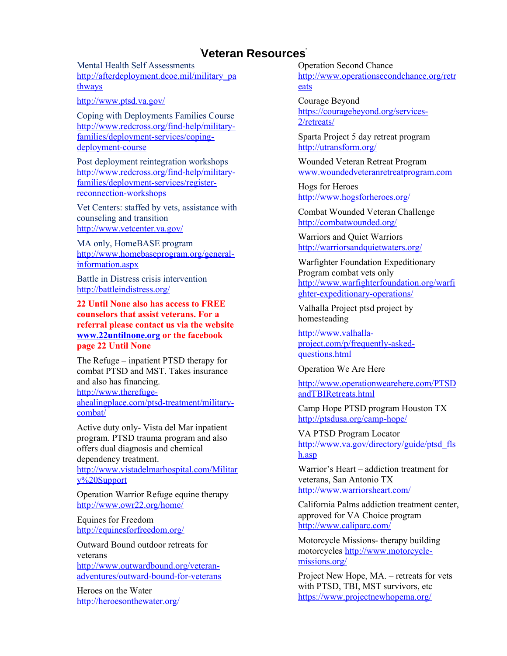Mental Health Self Assessments [http://afterdeployment.dcoe.mil/military\\_pa](http://afterdeployment.dcoe.mil/military_pathways) [thways](http://afterdeployment.dcoe.mil/military_pathways)

<http://www.ptsd.va.gov/>

Coping with Deployments Families Course [http://www.redcross.org/find-help/military](http://www.redcross.org/find-help/military-families/deployment-services/coping-deployment-course)[families/deployment-services/coping](http://www.redcross.org/find-help/military-families/deployment-services/coping-deployment-course)[deployment-course](http://www.redcross.org/find-help/military-families/deployment-services/coping-deployment-course)

Post deployment reintegration workshops [http://www.redcross.org/find-help/military](http://www.redcross.org/find-help/military-families/deployment-services/register-reconnection-workshops)[families/deployment-services/register](http://www.redcross.org/find-help/military-families/deployment-services/register-reconnection-workshops)[reconnection-workshops](http://www.redcross.org/find-help/military-families/deployment-services/register-reconnection-workshops)

Vet Centers: staffed by vets, assistance with counseling and transition <http://www.vetcenter.va.gov/>

MA only, HomeBASE program [http://www.homebaseprogram.org/general](http://www.homebaseprogram.org/general-information.aspx)[information.aspx](http://www.homebaseprogram.org/general-information.aspx)

Battle in Distress crisis intervention <http://battleindistress.org/>

**22 Until None also has access to FREE counselors that assist veterans. For a referral please contact us via the website [www.22untilnone.org](http://www.22untilnone.org/) or the facebook page 22 Until None**

The Refuge – inpatient PTSD therapy for combat PTSD and MST. Takes insurance and also has financing. [http://www.therefuge-](http://www.therefuge-ahealingplace.com/ptsd-treatment/military-combat/)

[ahealingplace.com/ptsd-treatment/military](http://www.therefuge-ahealingplace.com/ptsd-treatment/military-combat/)[combat/](http://www.therefuge-ahealingplace.com/ptsd-treatment/military-combat/)

Active duty only- Vista del Mar inpatient program. PTSD trauma program and also offers dual diagnosis and chemical dependency treatment.

[http://www.vistadelmarhospital.com/Militar](http://www.vistadelmarhospital.com/Military%20Support) [y%20Support](http://www.vistadelmarhospital.com/Military%20Support)

Operation Warrior Refuge equine therapy <http://www.owr22.org/home/>

Equines for Freedom <http://equinesforfreedom.org/>

Outward Bound outdoor retreats for veterans

[http://www.outwardbound.org/veteran](http://www.outwardbound.org/veteran-adventures/outward-bound-for-veterans)[adventures/outward-bound-for-veterans](http://www.outwardbound.org/veteran-adventures/outward-bound-for-veterans)

Heroes on the Water <http://heroesonthewater.org/> Operation Second Chance [http://www.operationsecondchance.org/retr](http://www.operationsecondchance.org/retreats) [eats](http://www.operationsecondchance.org/retreats)

Courage Beyond [https://couragebeyond.org/services-](https://couragebeyond.org/services-2/retreats/)[2/retreats/](https://couragebeyond.org/services-2/retreats/)

Sparta Project 5 day retreat program <http://utransform.org/>

Wounded Veteran Retreat Program [www.woundedveteranretreatprogram.com](http://www.woundedveteranretreatprogram.com/)

Hogs for Heroes <http://www.hogsforheroes.org/>

Combat Wounded Veteran Challenge <http://combatwounded.org/>

Warriors and Quiet Warriors <http://warriorsandquietwaters.org/>

Warfighter Foundation Expeditionary Program combat vets only [http://www.warfighterfoundation.org/warfi](http://www.warfighterfoundation.org/warfighter-expeditionary-operations/) [ghter-expeditionary-operations/](http://www.warfighterfoundation.org/warfighter-expeditionary-operations/)

Valhalla Project ptsd project by homesteading

[http://www.valhalla](http://www.valhalla-project.com/p/frequently-asked-questions.html)[project.com/p/frequently-asked](http://www.valhalla-project.com/p/frequently-asked-questions.html)[questions.html](http://www.valhalla-project.com/p/frequently-asked-questions.html)

Operation We Are Here

[http://www.operationwearehere.com/PTSD](http://www.operationwearehere.com/PTSDandTBIRetreats.html) [andTBIRetreats.html](http://www.operationwearehere.com/PTSDandTBIRetreats.html)

Camp Hope PTSD program Houston TX <http://ptsdusa.org/camp-hope/>

VA PTSD Program Locator [http://www.va.gov/directory/guide/ptsd\\_fls](http://www.va.gov/directory/guide/ptsd_flsh.asp) [h.asp](http://www.va.gov/directory/guide/ptsd_flsh.asp)

Warrior's Heart – addiction treatment for veterans, San Antonio TX <http://www.warriorsheart.com/>

California Palms addiction treatment center, approved for VA Choice program <http://www.caliparc.com/>

Motorcycle Missions- therapy building motorcycles [http://www.motorcycle](http://www.motorcycle-missions.org/)[missions.org/](http://www.motorcycle-missions.org/)

Project New Hope, MA. – retreats for vets with PTSD, TBI, MST survivors, etc <https://www.projectnewhopema.org/>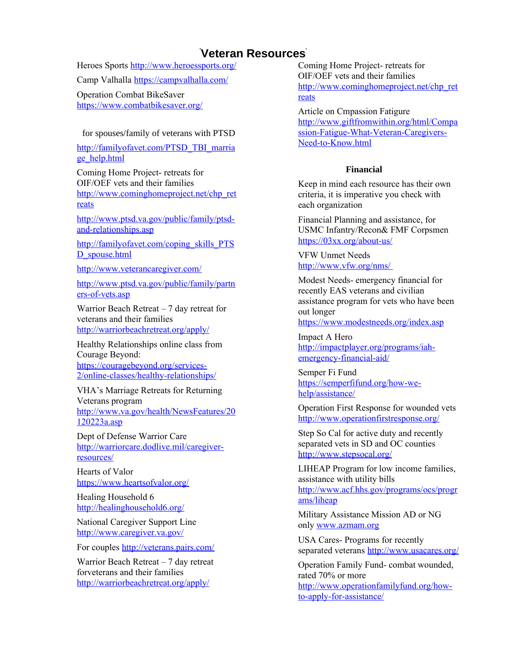Heroes Sports<http://www.heroessports.org/>

Camp Valhalla<https://campvalhalla.com/>

Operation Combat BikeSaver <https://www.combatbikesaver.org/>

### for spouses/family of veterans with PTSD

[http://familyofavet.com/PTSD\\_TBI\\_marria](http://familyofavet.com/PTSD_TBI_marriage_help.html) [ge\\_help.html](http://familyofavet.com/PTSD_TBI_marriage_help.html)

Coming Home Project- retreats for OIF/OEF vets and their families [http://www.cominghomeproject.net/chp\\_ret](http://www.cominghomeproject.net/chp_retreats) [reats](http://www.cominghomeproject.net/chp_retreats)

[http://www.ptsd.va.gov/public/family/ptsd](http://www.ptsd.va.gov/public/family/ptsd-and-relationships.asp)[and-relationships.asp](http://www.ptsd.va.gov/public/family/ptsd-and-relationships.asp)

[http://familyofavet.com/coping\\_skills\\_PTS](http://familyofavet.com/coping_skills_PTSD_spouse.html) [D\\_spouse.html](http://familyofavet.com/coping_skills_PTSD_spouse.html)

<http://www.veterancaregiver.com/>

[http://www.ptsd.va.gov/public/family/partn](http://www.ptsd.va.gov/public/family/partners-of-vets.asp) [ers-of-vets.asp](http://www.ptsd.va.gov/public/family/partners-of-vets.asp)

Warrior Beach Retreat  $-7$  day retreat for veterans and their families <http://warriorbeachretreat.org/apply/>

Healthy Relationships online class from Courage Beyond: [https://couragebeyond.org/services-](https://couragebeyond.org/services-2/online-classes/healthy-relationships/)[2/online-classes/healthy-relationships/](https://couragebeyond.org/services-2/online-classes/healthy-relationships/)

VHA's Marriage Retreats for Returning Veterans program [http://www.va.gov/health/NewsFeatures/20](http://www.va.gov/health/NewsFeatures/20120223a.asp) [120223a.asp](http://www.va.gov/health/NewsFeatures/20120223a.asp)

Dept of Defense Warrior Care [http://warriorcare.dodlive.mil/caregiver](http://warriorcare.dodlive.mil/caregiver-resources/)[resources/](http://warriorcare.dodlive.mil/caregiver-resources/)

Hearts of Valor <https://www.heartsofvalor.org/>

Healing Household 6 <http://healinghousehold6.org/>

National Caregiver Support Line <http://www.caregiver.va.gov/>

For couples<http://veterans.pairs.com/>

Warrior Beach Retreat – 7 day retreat forveterans and their families <http://warriorbeachretreat.org/apply/>

Coming Home Project- retreats for OIF/OEF vets and their families [http://www.cominghomeproject.net/chp\\_ret](http://www.cominghomeproject.net/chp_retreats) [reats](http://www.cominghomeproject.net/chp_retreats)

Article on Cmpassion Fatigure [http://www.giftfromwithin.org/html/Compa](http://www.giftfromwithin.org/html/Compassion-Fatigue-What-Veteran-Caregivers-Need-to-Know.html) [ssion-Fatigue-What-Veteran-Caregivers-](http://www.giftfromwithin.org/html/Compassion-Fatigue-What-Veteran-Caregivers-Need-to-Know.html)[Need-to-Know.html](http://www.giftfromwithin.org/html/Compassion-Fatigue-What-Veteran-Caregivers-Need-to-Know.html)

### **Financial**

Keep in mind each resource has their own criteria, it is imperative you check with each organization

Financial Planning and assistance, for USMC Infantry/Recon& FMF Corpsmen <https://03xx.org/about-us/>

VFW Unmet Needs <http://www.vfw.org/nms/>

Modest Needs- emergency financial for recently EAS veterans and civilian assistance program for vets who have been out longer

<https://www.modestneeds.org/index.asp>

Impact A Hero [http://impactplayer.org/programs/iah](http://impactplayer.org/programs/iah-emergency-financial-aid/)[emergency-financial-aid/](http://impactplayer.org/programs/iah-emergency-financial-aid/)

Semper Fi Fund [https://semperfifund.org/how-we](https://semperfifund.org/how-we-help/assistance/)[help/assistance/](https://semperfifund.org/how-we-help/assistance/)

Operation First Response for wounded vets <http://www.operationfirstresponse.org/>

Step So Cal for active duty and recently separated vets in SD and OC counties <http://www.stepsocal.org/>

LIHEAP Program for low income families, assistance with utility bills [http://www.acf.hhs.gov/programs/ocs/progr](http://www.acf.hhs.gov/programs/ocs/programs/liheap) [ams/liheap](http://www.acf.hhs.gov/programs/ocs/programs/liheap)

Military Assistance Mission AD or NG only [www.azmam.org](http://www.azmam.org/)

USA Cares- Programs for recently separated veterans<http://www.usacares.org/>

Operation Family Fund- combat wounded, rated 70% or more [http://www.operationfamilyfund.org/how](http://www.operationfamilyfund.org/how-to-apply-for-assistance/)[to-apply-for-assistance/](http://www.operationfamilyfund.org/how-to-apply-for-assistance/)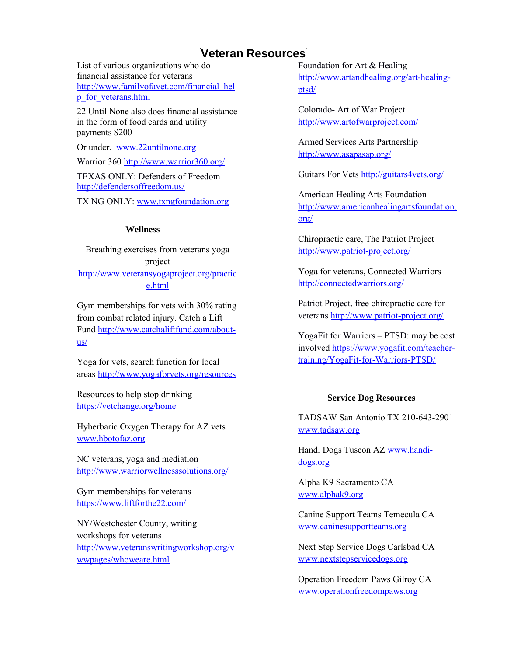List of various organizations who do financial assistance for veterans [http://www.familyofavet.com/financial\\_hel](http://www.familyofavet.com/financial_help_for_veterans.html) [p\\_for\\_veterans.html](http://www.familyofavet.com/financial_help_for_veterans.html)

22 Until None also does financial assistance in the form of food cards and utility payments \$200

Or under. [www.22untilnone.org](http://www.22untilnone.org/)

Warrior 360<http://www.warrior360.org/>

TEXAS ONLY: Defenders of Freedom <http://defendersoffreedom.us/>

TX NG ONLY: [www.txngfoundation.org](http://www.txngfoundation.org/)

#### **Wellness**

Breathing exercises from veterans yoga project [http://www.veteransyogaproject.org/practic](http://www.veteransyogaproject.org/practice.html) [e.html](http://www.veteransyogaproject.org/practice.html)

Gym memberships for vets with 30% rating from combat related injury. Catch a Lift Fund [http://www.catchaliftfund.com/about](http://www.catchaliftfund.com/about-us/)[us/](http://www.catchaliftfund.com/about-us/)

Yoga for vets, search function for local areas<http://www.yogaforvets.org/resources>

Resources to help stop drinking <https://vetchange.org/home>

Hyberbaric Oxygen Therapy for AZ vets [www.hbotofaz.org](http://www.hbotofaz.org/)

NC veterans, yoga and mediation <http://www.warriorwellnesssolutions.org/>

Gym memberships for veterans <https://www.liftforthe22.com/>

NY/Westchester County, writing workshops for veterans [http://www.veteranswritingworkshop.org/v](http://www.veteranswritingworkshop.org/vwwpages/whoweare.html) [wwpages/whoweare.html](http://www.veteranswritingworkshop.org/vwwpages/whoweare.html)

Foundation for Art & Healing [http://www.artandhealing.org/art-healing](http://www.artandhealing.org/art-healing-ptsd/)[ptsd/](http://www.artandhealing.org/art-healing-ptsd/)

Colorado- Art of War Project <http://www.artofwarproject.com/>

Armed Services Arts Partnership <http://www.asapasap.org/>

Guitars For Vets<http://guitars4vets.org/>

American Healing Arts Foundation [http://www.americanhealingartsfoundation.](http://www.americanhealingartsfoundation.org/) [org/](http://www.americanhealingartsfoundation.org/)

Chiropractic care, The Patriot Project <http://www.patriot-project.org/>

Yoga for veterans, Connected Warriors <http://connectedwarriors.org/>

Patriot Project, free chiropractic care for veterans<http://www.patriot-project.org/>

YogaFit for Warriors – PTSD: may be cost involved [https://www.yogafit.com/teacher](https://www.yogafit.com/teacher-training/YogaFit-for-Warriors-PTSD/)[training/YogaFit-for-Warriors-PTSD/](https://www.yogafit.com/teacher-training/YogaFit-for-Warriors-PTSD/)

### **Service Dog Resources**

TADSAW San Antonio TX 210-643-2901 [www.tadsaw.org](http://www.tadsaw.org/)

Handi Dogs Tuscon AZ [www.handi](http://www.handi-dogs.org/)[dogs.org](http://www.handi-dogs.org/)

Alpha K9 Sacramento CA [www.alphak9.org](http://www.alphak9.org/)

Canine Support Teams Temecula CA [www.caninesupportteams.org](http://www.caninesupportteams.org/)

Next Step Service Dogs Carlsbad CA [www.nextstepservicedogs.org](http://www.nextstepservicedogs.org/)

Operation Freedom Paws Gilroy CA [www.operationfreedompaws.org](http://www.operationfreedompaws.org/)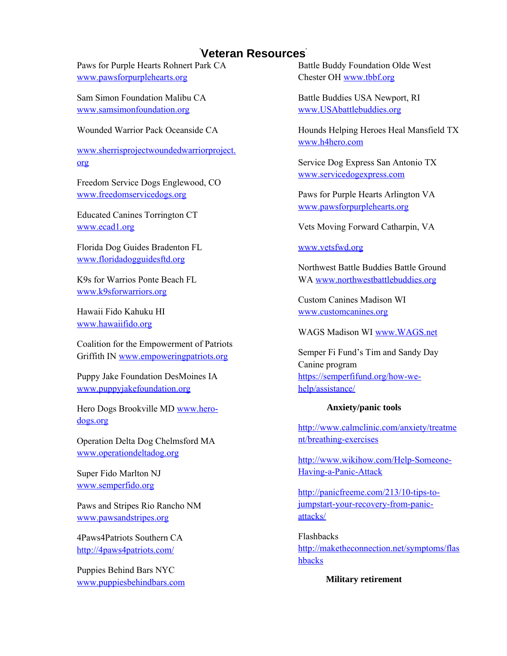Paws for Purple Hearts Rohnert Park CA [www.pawsforpurplehearts.org](http://www.pawsforpurplehearts.org/)

Sam Simon Foundation Malibu CA [www.samsimonfoundation.org](http://www.samsimonfoundation.org/)

Wounded Warrior Pack Oceanside CA

[www.sherrisprojectwoundedwarriorproject.](http://www.sherrisprojectwoundedwarriorproject.org/) [org](http://www.sherrisprojectwoundedwarriorproject.org/)

Freedom Service Dogs Englewood, CO [www.freedomservicedogs.org](http://www.freedomservicedogs.org/)

Educated Canines Torrington CT [www.ecad1.org](http://www.ecad1.org/)

Florida Dog Guides Bradenton FL [www.floridadogguidesftd.org](http://www.floridadogguidesftd.org/)

K9s for Warrios Ponte Beach FL [www.k9sforwarriors.org](http://www.k9sforwarriors.org/)

Hawaii Fido Kahuku HI [www.hawaiifido.org](http://www.hawaiifido.org/)

Coalition for the Empowerment of Patriots Griffith IN [www.empoweringpatriots.org](http://www.empoweringpatriots.org/)

Puppy Jake Foundation DesMoines IA [www.puppyjakefoundation.org](http://www.puppyjakefoundation.org/)

Hero Dogs Brookville MD [www.hero](http://www.hero-dogs.org/)[dogs.org](http://www.hero-dogs.org/)

Operation Delta Dog Chelmsford MA [www.operationdeltadog.org](http://www.operationdeltadog.org/)

Super Fido Marlton NJ [www.semperfido.org](http://www.semperfido.org/)

Paws and Stripes Rio Rancho NM [www.pawsandstripes.org](http://www.pawsandstripes.org/)

4Paws4Patriots Southern CA <http://4paws4patriots.com/>

Puppies Behind Bars NYC [www.puppiesbehindbars.com](http://www.puppiesbehindbars.com/) Battle Buddy Foundation Olde West Chester OH [www.tbbf.org](http://www.tbbf.org/)

Battle Buddies USA Newport, RI [www.USAbattlebuddies.org](http://www.USAbattlebuddies.org/)

Hounds Helping Heroes Heal Mansfield TX [www.h4hero.com](http://www.h4hero.com/)

Service Dog Express San Antonio TX [www.servicedogexpress.com](http://www.servicedogexpress.com/)

Paws for Purple Hearts Arlington VA [www.pawsforpurplehearts.org](http://www.pawsforpurplehearts.org/)

Vets Moving Forward Catharpin, VA

[www.vetsfwd.org](http://www.vetsfwd.org/)

Northwest Battle Buddies Battle Ground WA [www.northwestbattlebuddies.org](http://www.northwestbattlebuddies.org/)

Custom Canines Madison WI [www.customcanines.org](http://www.customcanines.org/)

WAGS Madison WI [www.WAGS.net](http://www.WAGS.net/)

Semper Fi Fund's Tim and Sandy Day Canine program [https://semperfifund.org/how-we](https://semperfifund.org/how-we-help/assistance/)[help/assistance/](https://semperfifund.org/how-we-help/assistance/)

### **Anxiety/panic tools**

[http://www.calmclinic.com/anxiety/treatme](http://www.calmclinic.com/anxiety/treatment/breathing-exercises) [nt/breathing-exercises](http://www.calmclinic.com/anxiety/treatment/breathing-exercises)

[http://www.wikihow.com/Help-Someone-](http://www.wikihow.com/Help-Someone-Having-a-Panic-Attack)[Having-a-Panic-Attack](http://www.wikihow.com/Help-Someone-Having-a-Panic-Attack)

[http://panicfreeme.com/213/10-tips-to](http://panicfreeme.com/213/10-tips-to-jumpstart-your-recovery-from-panic-attacks/)[jumpstart-your-recovery-from-panic](http://panicfreeme.com/213/10-tips-to-jumpstart-your-recovery-from-panic-attacks/)[attacks/](http://panicfreeme.com/213/10-tips-to-jumpstart-your-recovery-from-panic-attacks/)

Flashbacks [http://maketheconnection.net/symptoms/flas](http://maketheconnection.net/symptoms/flashbacks) [hbacks](http://maketheconnection.net/symptoms/flashbacks)

**Military retirement**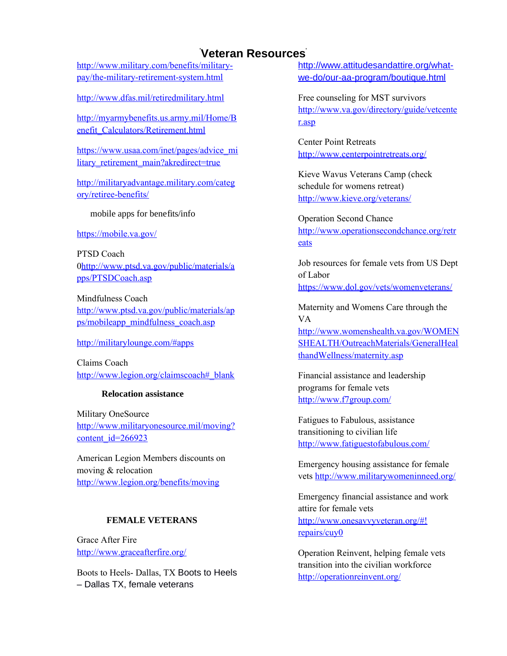[http://www.military.com/benefits/military](http://www.military.com/benefits/military-pay/the-military-retirement-system.html)[pay/the-military-retirement-system.html](http://www.military.com/benefits/military-pay/the-military-retirement-system.html)

<http://www.dfas.mil/retiredmilitary.html>

[http://myarmybenefits.us.army.mil/Home/B](http://myarmybenefits.us.army.mil/Home/Benefit_Calculators/Retirement.html) [enefit\\_Calculators/Retirement.html](http://myarmybenefits.us.army.mil/Home/Benefit_Calculators/Retirement.html)

[https://www.usaa.com/inet/pages/advice\\_mi](https://www.usaa.com/inet/pages/advice_military_retirement_main?akredirect=true) litary retirement main?akredirect=true

[http://militaryadvantage.military.com/categ](http://militaryadvantage.military.com/category/retiree-benefits/) [ory/retiree-benefits/](http://militaryadvantage.military.com/category/retiree-benefits/)

mobile apps for benefits/info

<https://mobile.va.gov/>

PTSD Coach [0http://www.ptsd.va.gov/public/materials/a](http://www.ptsd.va.gov/public/materials/apps/PTSDCoach.asp) [pps/PTSDCoach.asp](http://www.ptsd.va.gov/public/materials/apps/PTSDCoach.asp)

Mindfulness Coach [http://www.ptsd.va.gov/public/materials/ap](http://www.ptsd.va.gov/public/materials/apps/mobileapp_mindfulness_coach.asp) [ps/mobileapp\\_mindfulness\\_coach.asp](http://www.ptsd.va.gov/public/materials/apps/mobileapp_mindfulness_coach.asp)

[http://militarylounge.com/#apps](#page-7-2)

Claims Coach [http://www.legion.org/claimscoach#\\_blank](#page-7-1)

### <span id="page-7-2"></span>**Relocation assistance**

Military OneSource [http://www.militaryonesource.mil/moving?](http://www.militaryonesource.mil/moving?content_id=266923) [content\\_id=266923](http://www.militaryonesource.mil/moving?content_id=266923)

American Legion Members discounts on moving & relocation <http://www.legion.org/benefits/moving>

### **FEMALE VETERANS**

Grace After Fire <http://www.graceafterfire.org/>

Boots to Heels- Dallas, TX Boots to Heels – Dallas TX, female veterans

[http://www.attitudesandattire.org/what](http://www.attitudesandattire.org/what-we-do/our-aa-program/boutique.html)[we-do/our-aa-program/boutique.html](http://www.attitudesandattire.org/what-we-do/our-aa-program/boutique.html)

Free counseling for MST survivors [http://www.va.gov/directory/guide/vetcente](http://www.va.gov/directory/guide/vetcenter.asp) [r.asp](http://www.va.gov/directory/guide/vetcenter.asp)

Center Point Retreats <http://www.centerpointretreats.org/>

Kieve Wavus Veterans Camp (check schedule for womens retreat) <http://www.kieve.org/veterans/>

Operation Second Chance [http://www.operationsecondchance.org/retr](http://www.operationsecondchance.org/retreats) [eats](http://www.operationsecondchance.org/retreats)

Job resources for female vets from US Dept of Labor <https://www.dol.gov/vets/womenveterans/>

Maternity and Womens Care through the VA [http://www.womenshealth.va.gov/WOMEN](http://www.womenshealth.va.gov/WOMENSHEALTH/OutreachMaterials/GeneralHealthandWellness/maternity.asp) [SHEALTH/OutreachMaterials/GeneralHeal](http://www.womenshealth.va.gov/WOMENSHEALTH/OutreachMaterials/GeneralHealthandWellness/maternity.asp) [thandWellness/maternity.asp](http://www.womenshealth.va.gov/WOMENSHEALTH/OutreachMaterials/GeneralHealthandWellness/maternity.asp)

<span id="page-7-1"></span>Financial assistance and leadership programs for female vets <http://www.f7group.com/>

Fatigues to Fabulous, assistance transitioning to civilian life <http://www.fatiguestofabulous.com/>

Emergency housing assistance for female vets<http://www.militarywomeninneed.org/>

Emergency financial assistance and work attire for female vets [http://www.onesavvyveteran.org/#!](#page-7-0) [repairs/cuy0](#page-7-0)

<span id="page-7-0"></span>Operation Reinvent, helping female vets transition into the civilian workforce <http://operationreinvent.org/>